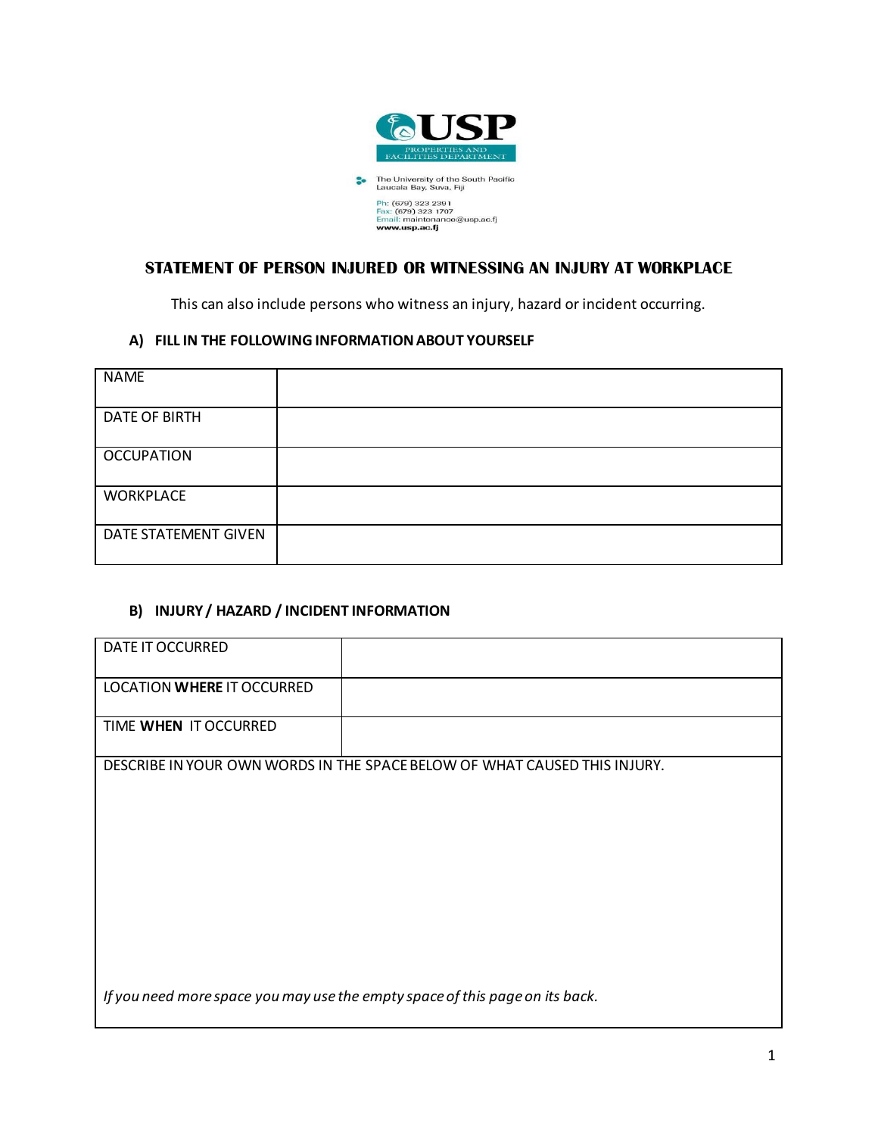

# **STATEMENT OF PERSON INJURED OR WITNESSING AN INJURY AT WORKPLACE**

This can also include persons who witness an injury, hazard or incident occurring.

#### **A) FILL IN THE FOLLOWING INFORMATION ABOUT YOURSELF**

| <b>NAME</b>          |  |
|----------------------|--|
| <b>DATE OF BIRTH</b> |  |
| <b>OCCUPATION</b>    |  |
| <b>WORKPLACE</b>     |  |
| DATE STATEMENT GIVEN |  |

#### **B) INJURY / HAZARD / INCIDENT INFORMATION**

| DATE IT OCCURRED           |                                                                              |
|----------------------------|------------------------------------------------------------------------------|
| LOCATION WHERE IT OCCURRED |                                                                              |
| TIME WHEN IT OCCURRED      |                                                                              |
|                            | DESCRIBE IN YOUR OWN WORDS IN THE SPACE BELOW OF WHAT CAUSED THIS INJURY.    |
|                            |                                                                              |
|                            |                                                                              |
|                            |                                                                              |
|                            |                                                                              |
|                            |                                                                              |
|                            |                                                                              |
|                            |                                                                              |
|                            | If you need more space you may use the empty space of this page on its back. |